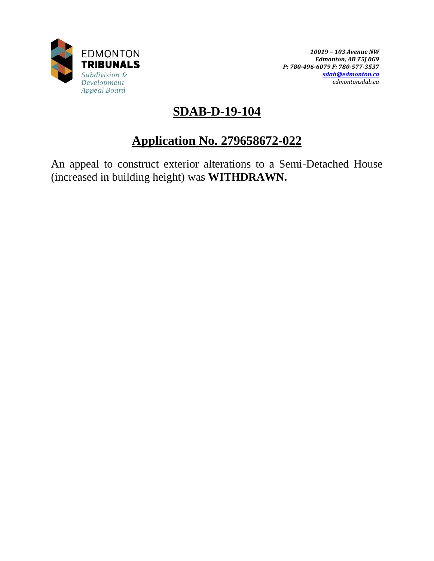

## **SDAB-D-19-104**

# **Application No. 279658672-022**

An appeal to construct exterior alterations to a Semi-Detached House (increased in building height) was **WITHDRAWN.**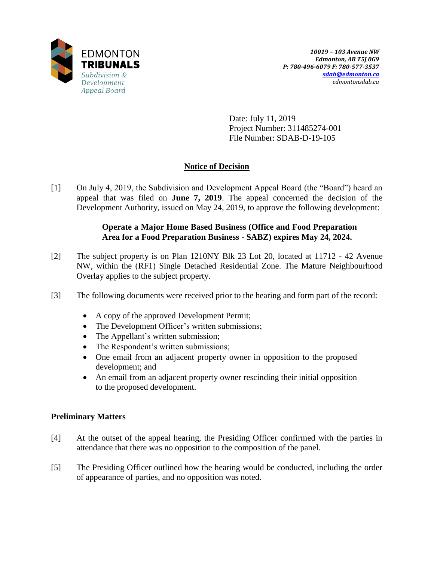

Date: July 11, 2019 Project Number: 311485274-001 File Number: SDAB-D-19-105

## **Notice of Decision**

[1] On July 4, 2019, the Subdivision and Development Appeal Board (the "Board") heard an appeal that was filed on **June 7, 2019**. The appeal concerned the decision of the Development Authority, issued on May 24, 2019, to approve the following development:

### **Operate a Major Home Based Business (Office and Food Preparation Area for a Food Preparation Business - SABZ) expires May 24, 2024.**

- [2] The subject property is on Plan 1210NY Blk 23 Lot 20, located at 11712 42 Avenue NW, within the (RF1) Single Detached Residential Zone. The Mature Neighbourhood Overlay applies to the subject property.
- [3] The following documents were received prior to the hearing and form part of the record:
	- A copy of the approved Development Permit;
	- The Development Officer's written submissions;
	- The Appellant's written submission;
	- The Respondent's written submissions;
	- One email from an adjacent property owner in opposition to the proposed development; and
	- An email from an adjacent property owner rescinding their initial opposition to the proposed development.

## **Preliminary Matters**

- [4] At the outset of the appeal hearing, the Presiding Officer confirmed with the parties in attendance that there was no opposition to the composition of the panel.
- [5] The Presiding Officer outlined how the hearing would be conducted, including the order of appearance of parties, and no opposition was noted.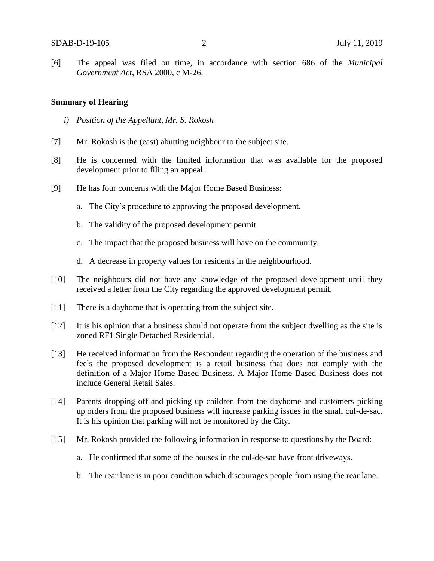[6] The appeal was filed on time, in accordance with section 686 of the *Municipal Government Act*, RSA 2000, c M-26.

#### **Summary of Hearing**

- *i) Position of the Appellant, Mr. S. Rokosh*
- [7] Mr. Rokosh is the (east) abutting neighbour to the subject site.
- [8] He is concerned with the limited information that was available for the proposed development prior to filing an appeal.
- [9] He has four concerns with the Major Home Based Business:
	- a. The City's procedure to approving the proposed development.
	- b. The validity of the proposed development permit.
	- c. The impact that the proposed business will have on the community.
	- d. A decrease in property values for residents in the neighbourhood.
- [10] The neighbours did not have any knowledge of the proposed development until they received a letter from the City regarding the approved development permit.
- [11] There is a dayhome that is operating from the subject site.
- [12] It is his opinion that a business should not operate from the subject dwelling as the site is zoned RF1 Single Detached Residential.
- [13] He received information from the Respondent regarding the operation of the business and feels the proposed development is a retail business that does not comply with the definition of a Major Home Based Business. A Major Home Based Business does not include General Retail Sales.
- [14] Parents dropping off and picking up children from the dayhome and customers picking up orders from the proposed business will increase parking issues in the small cul-de-sac. It is his opinion that parking will not be monitored by the City.
- [15] Mr. Rokosh provided the following information in response to questions by the Board:
	- a. He confirmed that some of the houses in the cul-de-sac have front driveways.
	- b. The rear lane is in poor condition which discourages people from using the rear lane.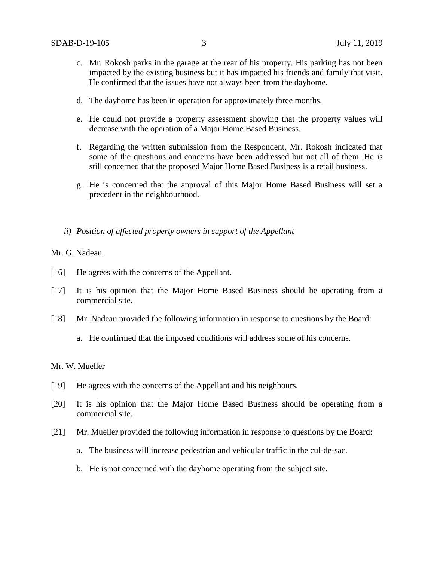- c. Mr. Rokosh parks in the garage at the rear of his property. His parking has not been impacted by the existing business but it has impacted his friends and family that visit. He confirmed that the issues have not always been from the dayhome.
- d. The dayhome has been in operation for approximately three months.
- e. He could not provide a property assessment showing that the property values will decrease with the operation of a Major Home Based Business.
- f. Regarding the written submission from the Respondent, Mr. Rokosh indicated that some of the questions and concerns have been addressed but not all of them. He is still concerned that the proposed Major Home Based Business is a retail business.
- g. He is concerned that the approval of this Major Home Based Business will set a precedent in the neighbourhood.
- *ii) Position of affected property owners in support of the Appellant*

#### Mr. G. Nadeau

- [16] He agrees with the concerns of the Appellant.
- [17] It is his opinion that the Major Home Based Business should be operating from a commercial site.
- [18] Mr. Nadeau provided the following information in response to questions by the Board:
	- a. He confirmed that the imposed conditions will address some of his concerns.

#### Mr. W. Mueller

- [19] He agrees with the concerns of the Appellant and his neighbours.
- [20] It is his opinion that the Major Home Based Business should be operating from a commercial site.
- [21] Mr. Mueller provided the following information in response to questions by the Board:
	- a. The business will increase pedestrian and vehicular traffic in the cul-de-sac.
	- b. He is not concerned with the dayhome operating from the subject site.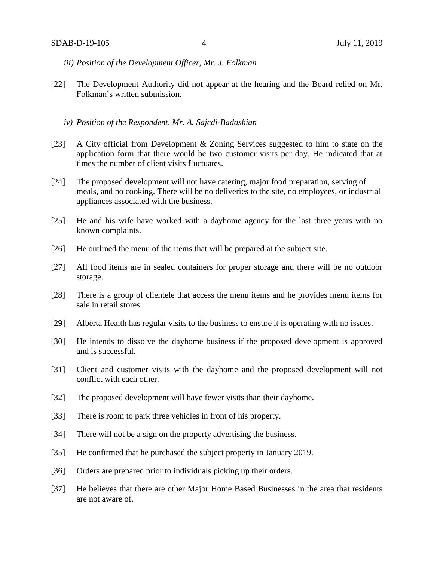- *iii) Position of the Development Officer, Mr. J. Folkman*
- [22] The Development Authority did not appear at the hearing and the Board relied on Mr. Folkman's written submission.
	- *iv) Position of the Respondent, Mr. A. Sajedi-Badashian*
- [23] A City official from Development & Zoning Services suggested to him to state on the application form that there would be two customer visits per day. He indicated that at times the number of client visits fluctuates.
- [24] The proposed development will not have catering, major food preparation, serving of meals, and no cooking. There will be no deliveries to the site, no employees, or industrial appliances associated with the business.
- [25] He and his wife have worked with a dayhome agency for the last three years with no known complaints.
- [26] He outlined the menu of the items that will be prepared at the subject site.
- [27] All food items are in sealed containers for proper storage and there will be no outdoor storage.
- [28] There is a group of clientele that access the menu items and he provides menu items for sale in retail stores.
- [29] Alberta Health has regular visits to the business to ensure it is operating with no issues.
- [30] He intends to dissolve the dayhome business if the proposed development is approved and is successful.
- [31] Client and customer visits with the dayhome and the proposed development will not conflict with each other.
- [32] The proposed development will have fewer visits than their dayhome.
- [33] There is room to park three vehicles in front of his property.
- [34] There will not be a sign on the property advertising the business.
- [35] He confirmed that he purchased the subject property in January 2019.
- [36] Orders are prepared prior to individuals picking up their orders.
- [37] He believes that there are other Major Home Based Businesses in the area that residents are not aware of.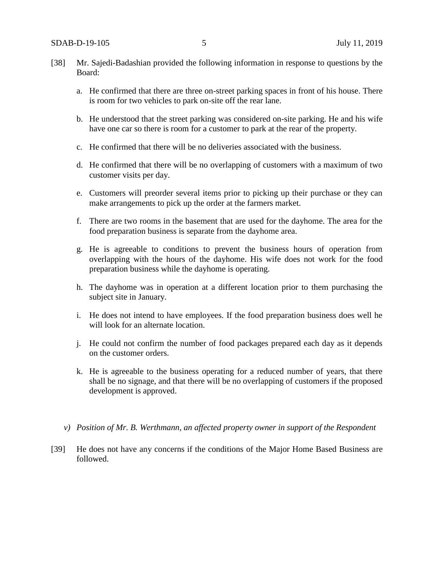- [38] Mr. Sajedi-Badashian provided the following information in response to questions by the Board:
	- a. He confirmed that there are three on-street parking spaces in front of his house. There is room for two vehicles to park on-site off the rear lane.
	- b. He understood that the street parking was considered on-site parking. He and his wife have one car so there is room for a customer to park at the rear of the property.
	- c. He confirmed that there will be no deliveries associated with the business.
	- d. He confirmed that there will be no overlapping of customers with a maximum of two customer visits per day.
	- e. Customers will preorder several items prior to picking up their purchase or they can make arrangements to pick up the order at the farmers market.
	- f. There are two rooms in the basement that are used for the dayhome. The area for the food preparation business is separate from the dayhome area.
	- g. He is agreeable to conditions to prevent the business hours of operation from overlapping with the hours of the dayhome. His wife does not work for the food preparation business while the dayhome is operating.
	- h. The dayhome was in operation at a different location prior to them purchasing the subject site in January.
	- i. He does not intend to have employees. If the food preparation business does well he will look for an alternate location.
	- j. He could not confirm the number of food packages prepared each day as it depends on the customer orders.
	- k. He is agreeable to the business operating for a reduced number of years, that there shall be no signage, and that there will be no overlapping of customers if the proposed development is approved.
	- *v) Position of Mr. B. Werthmann, an affected property owner in support of the Respondent*
- [39] He does not have any concerns if the conditions of the Major Home Based Business are followed.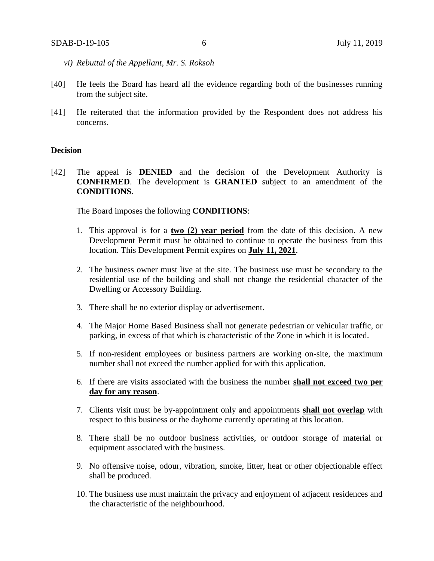- *vi) Rebuttal of the Appellant, Mr. S. Roksoh*
- [40] He feels the Board has heard all the evidence regarding both of the businesses running from the subject site.
- [41] He reiterated that the information provided by the Respondent does not address his concerns.

#### **Decision**

[42] The appeal is **DENIED** and the decision of the Development Authority is **CONFIRMED**. The development is **GRANTED** subject to an amendment of the **CONDITIONS**.

The Board imposes the following **CONDITIONS**:

- 1. This approval is for a **two (2) year period** from the date of this decision. A new Development Permit must be obtained to continue to operate the business from this location. This Development Permit expires on **July 11, 2021**.
- 2. The business owner must live at the site. The business use must be secondary to the residential use of the building and shall not change the residential character of the Dwelling or Accessory Building.
- 3. There shall be no exterior display or advertisement.
- 4. The Major Home Based Business shall not generate pedestrian or vehicular traffic, or parking, in excess of that which is characteristic of the Zone in which it is located.
- 5. If non-resident employees or business partners are working on-site, the maximum number shall not exceed the number applied for with this application.
- 6. If there are visits associated with the business the number **shall not exceed two per day for any reason**.
- 7. Clients visit must be by-appointment only and appointments **shall not overlap** with respect to this business or the dayhome currently operating at this location.
- 8. There shall be no outdoor business activities, or outdoor storage of material or equipment associated with the business.
- 9. No offensive noise, odour, vibration, smoke, litter, heat or other objectionable effect shall be produced.
- 10. The business use must maintain the privacy and enjoyment of adjacent residences and the characteristic of the neighbourhood.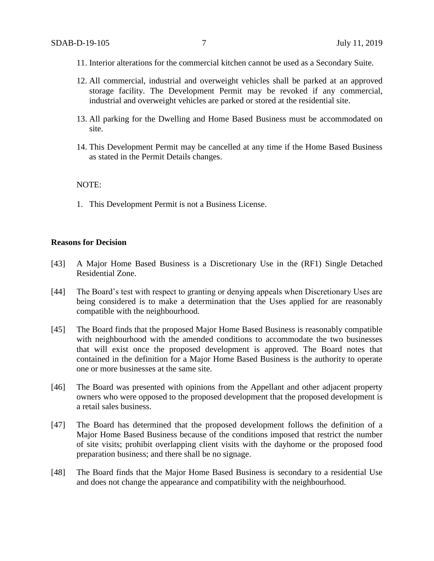- 11. Interior alterations for the commercial kitchen cannot be used as a Secondary Suite.
- 12. All commercial, industrial and overweight vehicles shall be parked at an approved storage facility. The Development Permit may be revoked if any commercial, industrial and overweight vehicles are parked or stored at the residential site.
- 13. All parking for the Dwelling and Home Based Business must be accommodated on site.
- 14. This Development Permit may be cancelled at any time if the Home Based Business as stated in the Permit Details changes.

#### NOTE:

1. This Development Permit is not a Business License.

#### **Reasons for Decision**

- [43] A Major Home Based Business is a Discretionary Use in the (RF1) Single Detached Residential Zone.
- [44] The Board's test with respect to granting or denying appeals when Discretionary Uses are being considered is to make a determination that the Uses applied for are reasonably compatible with the neighbourhood.
- [45] The Board finds that the proposed Major Home Based Business is reasonably compatible with neighbourhood with the amended conditions to accommodate the two businesses that will exist once the proposed development is approved. The Board notes that contained in the definition for a Major Home Based Business is the authority to operate one or more businesses at the same site.
- [46] The Board was presented with opinions from the Appellant and other adjacent property owners who were opposed to the proposed development that the proposed development is a retail sales business.
- [47] The Board has determined that the proposed development follows the definition of a Major Home Based Business because of the conditions imposed that restrict the number of site visits; prohibit overlapping client visits with the dayhome or the proposed food preparation business; and there shall be no signage.
- [48] The Board finds that the Major Home Based Business is secondary to a residential Use and does not change the appearance and compatibility with the neighbourhood.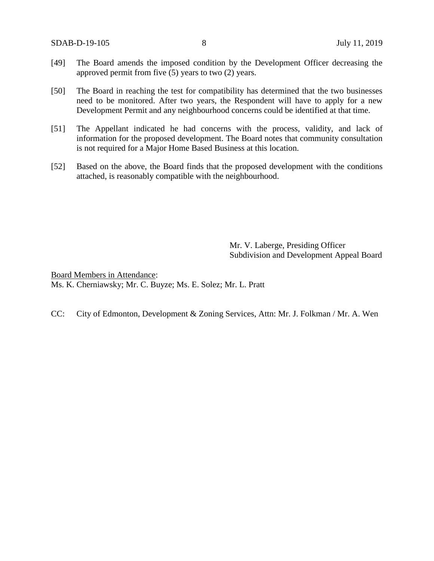- [49] The Board amends the imposed condition by the Development Officer decreasing the approved permit from five (5) years to two (2) years.
- [50] The Board in reaching the test for compatibility has determined that the two businesses need to be monitored. After two years, the Respondent will have to apply for a new Development Permit and any neighbourhood concerns could be identified at that time.
- [51] The Appellant indicated he had concerns with the process, validity, and lack of information for the proposed development. The Board notes that community consultation is not required for a Major Home Based Business at this location.
- [52] Based on the above, the Board finds that the proposed development with the conditions attached, is reasonably compatible with the neighbourhood.

Mr. V. Laberge, Presiding Officer Subdivision and Development Appeal Board

Board Members in Attendance: Ms. K. Cherniawsky; Mr. C. Buyze; Ms. E. Solez; Mr. L. Pratt

CC: City of Edmonton, Development & Zoning Services, Attn: Mr. J. Folkman / Mr. A. Wen